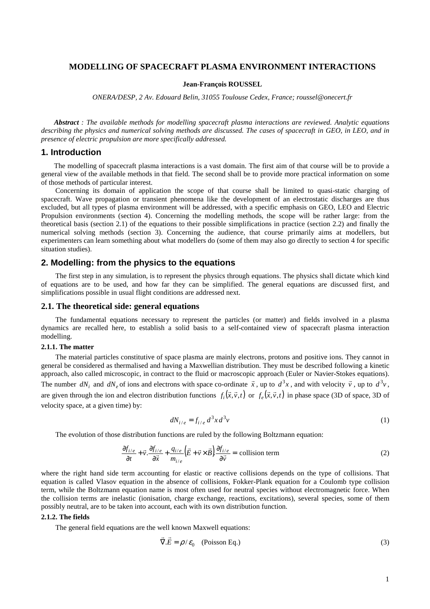# **MODELLING OF SPACECRAFT PLASMA ENVIRONMENT INTERACTIONS**

### **Jean-François ROUSSEL**

*ONERA/DESP, 2 Av. Edouard Belin, 31055 Toulouse Cedex, France; roussel@onecert.fr*

*Abstract : The available methods for modelling spacecraft plasma interactions are reviewed. Analytic equations describing the physics and numerical solving methods are discussed. The cases of spacecraft in GEO, in LEO, and in presence of electric propulsion are more specifically addressed.*

# **1. Introduction**

The modelling of spacecraft plasma interactions is a vast domain. The first aim of that course will be to provide a general view of the available methods in that field. The second shall be to provide more practical information on some of those methods of particular interest.

Concerning its domain of application the scope of that course shall be limited to quasi-static charging of spacecraft. Wave propagation or transient phenomena like the development of an electrostatic discharges are thus excluded, but all types of plasma environment will be addressed, with a specific emphasis on GEO, LEO and Electric Propulsion environments (section 4). Concerning the modelling methods, the scope will be rather large: from the theoretical basis (section 2.1) of the equations to their possible simplifications in practice (section 2.2) and finally the numerical solving methods (section 3). Concerning the audience, that course primarily aims at modellers, but experimenters can learn something about what modellers do (some of them may also go directly to section 4 for specific situation studies).

# **2. Modelling: from the physics to the equations**

The first step in any simulation, is to represent the physics through equations. The physics shall dictate which kind of equations are to be used, and how far they can be simplified. The general equations are discussed first, and simplifications possible in usual flight conditions are addressed next.

# **2.1. The theoretical side: general equations**

The fundamental equations necessary to represent the particles (or matter) and fields involved in a plasma dynamics are recalled here, to establish a solid basis to a self-contained view of spacecraft plasma interaction modelling.

#### **2.1.1. The matter**

The material particles constitutive of space plasma are mainly electrons, protons and positive ions. They cannot in general be considered as thermalised and having a Maxwellian distribution. They must be described following a kinetic approach, also called microscopic, in contract to the fluid or macroscopic approach (Euler or Navier-Stokes equations). The number  $dN_i$  and  $dN_e$  of ions and electrons with space co-ordinate  $\bar{x}$ , up to  $d^3x$ , and with velocity  $\bar{v}$ , up to  $d^3v$ , are given through the ion and electron distribution functions  $f_i(\vec{x}, \vec{v}, t)$  or  $f_c(\vec{x}, \vec{v}, t)$  in phase space (3D of space, 3D of velocity space, at a given time) by:

$$
dN_{i/e} = f_{i/e} d^3 x d^3 v \tag{1}
$$

The evolution of those distribution functions are ruled by the following Boltzmann equation:

$$
\frac{\partial f_{i/e}}{\partial t} + \vec{v} \cdot \frac{\partial f_{i/e}}{\partial \vec{x}} + \frac{q_{i/e}}{m_{i/e}} \left( \vec{E} + \vec{v} \times \vec{B} \right) \frac{\partial f_{i/e}}{\partial \vec{v}} = \text{collision term}
$$
\n(2)

where the right hand side term accounting for elastic or reactive collisions depends on the type of collisions. That equation is called Vlasov equation in the absence of collisions, Fokker-Plank equation for a Coulomb type collision term, while the Boltzmann equation name is most often used for neutral species without electromagnetic force. When the collision terms are inelastic (ionisation, charge exchange, reactions, excitations), several species, some of them possibly neutral, are to be taken into account, each with its own distribution function.

#### **2.1.2. The fields**

The general field equations are the well known Maxwell equations:

$$
\vec{\nabla}.\vec{E} = \rho/\varepsilon_0 \quad \text{(Poisson Eq.)} \tag{3}
$$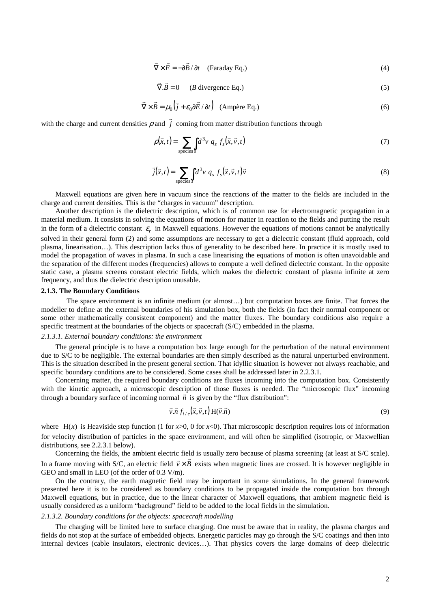$$
\vec{\nabla} \times \vec{E} = -\partial \vec{B} / \partial t \quad \text{(Faraday Eq.)} \tag{4}
$$

$$
\vec{\nabla} \cdot \vec{B} = 0 \qquad (B \text{ divergence Eq.}) \tag{5}
$$

$$
\vec{\nabla} \times \vec{B} = \mu_0 \left( \vec{j} + \varepsilon_0 \partial \vec{E} / \partial t \right) \quad \text{(Ampère Eq.)} \tag{6}
$$

with the charge and current densities  $\rho$  and  $\dot{j}$  $\overline{\phantom{a}}$ coming from matter distribution functions through

$$
\rho(\vec{x},t) = \sum_{\text{species }s} d^3v \ q_s \ f_s(\vec{x},\vec{v},t) \tag{7}
$$

$$
\vec{j}(\vec{x},t) = \sum_{\text{species } s} d^3 v \ q_s \ f_s(\vec{x},\vec{v},t) \vec{v} \tag{8}
$$

Maxwell equations are given here in vacuum since the reactions of the matter to the fields are included in the charge and current densities. This is the "charges in vacuum" description.

Another description is the dielectric description, which is of common use for electromagnetic propagation in a material medium. It consists in solving the equations of motion for matter in reaction to the fields and putting the result in the form of a dielectric constant  $\varepsilon_r$  in Maxwell equations. However the equations of motions cannot be analytically solved in their general form (2) and some assumptions are necessary to get a dielectric constant (fluid approach, cold plasma, linearisation…). This description lacks thus of generality to be described here. In practice it is mostly used to model the propagation of waves in plasma. In such a case linearising the equations of motion is often unavoidable and the separation of the different modes (frequencies) allows to compute a well defined dielectric constant. In the opposite static case, a plasma screens constant electric fields, which makes the dielectric constant of plasma infinite at zero frequency, and thus the dielectric description unusable.

### **2.1.3. The Boundary Conditions**

The space environment is an infinite medium (or almost…) but computation boxes are finite. That forces the modeller to define at the external boundaries of his simulation box, both the fields (in fact their normal component or some other mathematically consistent component) and the matter fluxes. The boundary conditions also require a specific treatment at the boundaries of the objects or spacecraft (S/C) embedded in the plasma.

### *2.1.3.1. External boundary conditions: the environment*

The general principle is to have a computation box large enough for the perturbation of the natural environment due to S/C to be negligible. The external boundaries are then simply described as the natural unperturbed environment. This is the situation described in the present general section. That idyllic situation is however not always reachable, and specific boundary conditions are to be considered. Some cases shall be addressed later in 2.2.3.1.

Concerning matter, the required boundary conditions are fluxes incoming into the computation box. Consistently with the kinetic approach, a microscopic description of those fluxes is needed. The "microscopic flux" incoming through a boundary surface of incoming normal  $\vec{n}$  is given by the "flux distribution":

$$
\vec{v}.\vec{n} f_{i/e}(\vec{x}, \vec{v}, t) \mathbf{H}(\vec{v}.\vec{n}) \tag{9}
$$

where  $H(x)$  is Heaviside step function (1 for  $x>0$ , 0 for  $x<0$ ). That microscopic description requires lots of information for velocity distribution of particles in the space environment, and will often be simplified (isotropic, or Maxwellian distributions, see 2.2.3.1 below).

Concerning the fields, the ambient electric field is usually zero because of plasma screening (at least at S/C scale). In a frame moving with S/C, an electric field  $\vec{v} \times \vec{B}$  exists when magnetic lines are crossed. It is however negligible in GEO and small in LEO (of the order of 0.3 V/m).

On the contrary, the earth magnetic field may be important in some simulations. In the general framework presented here it is to be considered as boundary conditions to be propagated inside the computation box through Maxwell equations, but in practice, due to the linear character of Maxwell equations, that ambient magnetic field is usually considered as a uniform "background" field to be added to the local fields in the simulation.

#### *2.1.3.2. Boundary conditions for the objects: spacecraft modelling*

The charging will be limited here to surface charging. One must be aware that in reality, the plasma charges and fields do not stop at the surface of embedded objects. Energetic particles may go through the S/C coatings and then into internal devices (cable insulators, electronic devices…). That physics covers the large domains of deep dielectric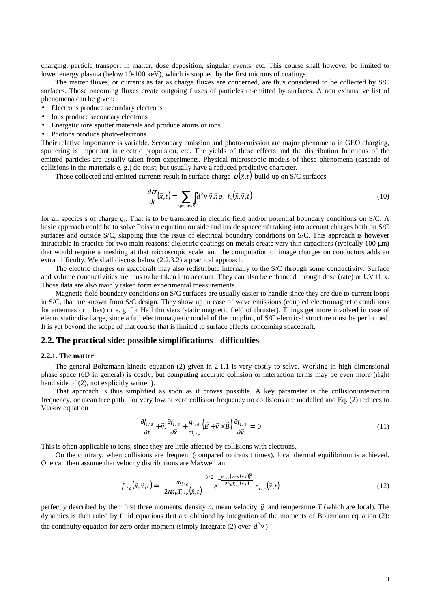charging, particle transport in matter, dose deposition, singular events, etc. This course shall however be limited to lower energy plasma (below 10-100 keV), which is stopped by the first microns of coatings.

The matter fluxes, or currents as far as charge fluxes are concerned, are thus considered to be collected by S/C surfaces. Those oncoming fluxes create outgoing fluxes of particles re-emitted by surfaces. A non exhaustive list of phenomena can be given:

- Electrons produce secondary electrons
- Ions produce secondary electrons
- Energetic ions sputter materials and produce atoms or ions
- Photons produce photo-electrons

Their relative importance is variable. Secondary emission and photo-emission are major phenomena in GEO charging, sputtering is important in electric propulsion, etc. The yields of these effects and the distribution functions of the emitted particles are usually taken from experiments. Physical microscopic models of those phenomena (cascade of collisions in the materials e. g.) do exist, but usually have a reduced predictive character.

Those collected and emitted currents result in surface charge  $\sigma(\vec{x},t)$  build-up on S/C surfaces

$$
\frac{d\sigma}{dt}(\vec{x},t) = \sum_{\text{species }s} d^3 v \, \vec{v} \cdot \vec{n} \, q_s \, f_s(\vec{x},\vec{v},t) \tag{10}
$$

for all species *s* of charge *qs*. That is to be translated in electric field and/or potential boundary conditions on S/C. A basic approach could be to solve Poisson equation outside and inside spacecraft taking into account charges both on S/C surfaces and outside S/C, skipping thus the issue of electrical boundary conditions on S/C. This approach is however intractable in practice for two main reasons: dielectric coatings on metals create very thin capacitors (typically 100 µm) that would require a meshing at that microscopic scale, and the computation of image charges on conductors adds an extra difficulty. We shall discuss below (2.2.3.2) a practical approach.

The electric charges on spacecraft may also redistribute internally to the S/C through some conductivity. Surface and volume conductivities are thus to be taken into account. They can also be enhanced through dose (rate) or UV flux. Those data are also mainly taken form experimental measurements.

Magnetic field boundary conditions on S/C surfaces are usually easier to handle since they are due to current loops in S/C, that are known from S/C design. They show up in case of wave emissions (coupled electromagnetic conditions for antennas or tubes) or e. g. for Hall thrusters (static magnetic field of thruster). Things get more involved in case of electrostatic discharge, since a full electromagnetic model of the coupling of S/C electrical structure must be performed. It is yet beyond the scope of that course that is limited to surface effects concerning spacecraft.

#### **2.2. The practical side: possible simplifications - difficulties**

#### **2.2.1. The matter**

The general Boltzmann kinetic equation (2) given in 2.1.1 is very costly to solve. Working in high dimensional phase space (6D in general) is costly, but computing accurate collision or interaction terms may be even more (right hand side of (2), not explicitly written).

That approach is thus simplified as soon as it proves possible. A key parameter is the collision/interaction frequency, or mean free path. For very low or zero collision frequency no collisions are modelled and Eq. (2) reduces to Vlasov equation

$$
\frac{\partial f_{i/e}}{\partial t} + \vec{v} \cdot \frac{\partial f_{i/e}}{\partial \vec{x}} + \frac{q_{i/e}}{m_{i/e}} \left(\vec{E} + \vec{v} \times \vec{B}\right) \frac{\partial f_{i/e}}{\partial \vec{v}} = 0 \tag{11}
$$

This is often applicable to ions, since they are little affected by collisions with electrons.

On the contrary, when collisions are frequent (compared to transit times), local thermal equilibrium is achieved. One can then assume that velocity distributions are Maxwellian

$$
f_{i/e}(\vec{x}, \vec{v}, t) = \left(\frac{m_{i/e}}{2\pi k_B T_{i/e}(\vec{x}, t)}\right)^{3/2} e^{-\frac{m_{i/e}(\vec{v} - \vec{u}(\vec{x}, t))^2}{2k_B T_{i/e}(\vec{x}, t)}} n_{i/e}(\vec{x}, t)
$$
(12)

perfectly described by their first three moments, density *n*, mean velocity  $\vec{u}$  and temperature *T* (which are local). The dynamics is then ruled by fluid equations that are obtained by integration of the moments of Boltzmann equation (2): the continuity equation for zero order moment (simply integrate (2) over  $d^3v$ )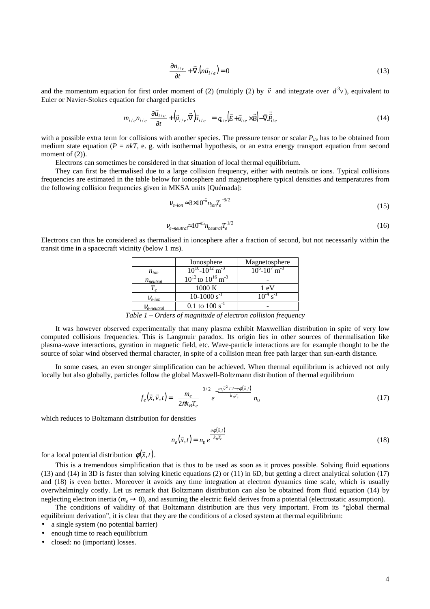$$
\frac{\partial n_{i/e}}{\partial t} + \vec{\nabla} \cdot (n \vec{u}_{i/e}) = 0 \tag{13}
$$

and the momentum equation for first order moment of (2) (multiply (2) by  $\vec{v}$  and integrate over  $d^3v$ ), equivalent to Euler or Navier-Stokes equation for charged particles

$$
m_{i/e}n_{i/e}\left[\frac{\partial \vec{u}_{i/e}}{\partial t} + \left(\vec{u}_{i/e}\cdot\vec{\nabla}\right)\vec{u}_{i/e}\right] = q_{i/e}\left(\vec{E} + \vec{u}_{i/e}\times\vec{B}\right) - \vec{\nabla}\cdot\vec{P}_{i/e}
$$
\n(14)

with a possible extra term for collisions with another species. The pressure tensor or scalar  $P_{i,e}$  has to be obtained from medium state equation ( $P = nkT$ , e. g. with isothermal hypothesis, or an extra energy transport equation from second moment of  $(2)$ ).

Electrons can sometimes be considered in that situation of local thermal equilibrium.

They can first be thermalised due to a large collision frequency, either with neutrals or ions. Typical collisions frequencies are estimated in the table below for ionosphere and magnetosphere typical densities and temperatures from the following collision frequencies given in MKSA units [Quémada]:

$$
V_{e-ion} \approx 3 \times 10^{-5} n_{ion} T_e^{-3/2}
$$
 (15)

$$
V_{e-neutral} \approx 10^{-15} n_{neutral} T_e^{1/2}
$$
 (16)

Electrons can thus be considered as thermalised in ionosphere after a fraction of second, but not necessarily within the transit time in a spacecraft vicinity (below 1 ms).

|                 | Ionosphere                             | Magnetosphere                 |
|-----------------|----------------------------------------|-------------------------------|
| $n_{ion}$       | $10^{10} - 10^{12}$ m <sup>-3</sup>    | $10^6 - 10^7$ m <sup>-3</sup> |
| $n_{neutral}$   | $10^{12}$ to $10^{16}$ m <sup>-3</sup> |                               |
|                 | 1000K                                  | 1 eV                          |
| $V_{e-ion}$     | $10-1000 s^{-1}$                       |                               |
| $V_{e-neutral}$ | $0.1$ to $100 s^{-1}$                  |                               |
|                 |                                        |                               |

*Table 1 – Orders of magnitude of electron collision frequency*

It was however observed experimentally that many plasma exhibit Maxwellian distribution in spite of very low computed collisions frequencies. This is Langmuir paradox. Its origin lies in other sources of thermalisation like plasma-wave interactions, gyration in magnetic field, etc. Wave-particle interactions are for example thought to be the source of solar wind observed thermal character, in spite of a collision mean free path larger than sun-earth distance.

In some cases, an even stronger simplification can be achieved. When thermal equilibrium is achieved not only locally but also globally, particles follow the global Maxwell-Boltzmann distribution of thermal equilibrium

$$
f_e(\vec{x}, \vec{v}, t) = \left(\frac{m_e}{2\pi k_B T_e}\right)^{3/2} e^{-\frac{m_e \vec{v}^2/2 - e\phi(\vec{x}, t)}{k_B T_e}} n_0
$$
\n(17)

which reduces to Boltzmann distribution for densities

$$
n_e(\vec{x},t) = n_0 e^{\frac{e\phi(\vec{x},t)}{k_B T_e}}
$$
\n(18)

for a local potential distribution  $\phi(\vec{x}, t)$ .

This is a tremendous simplification that is thus to be used as soon as it proves possible. Solving fluid equations (13) and (14) in 3D is faster than solving kinetic equations (2) or (11) in 6D, but getting a direct analytical solution (17) and (18) is even better. Moreover it avoids any time integration at electron dynamics time scale, which is usually overwhelmingly costly. Let us remark that Boltzmann distribution can also be obtained from fluid equation (14) by neglecting electron inertia ( $m_e \rightarrow 0$ ), and assuming the electric field derives from a potential (electrostatic assumption).

The conditions of validity of that Boltzmann distribution are thus very important. From its "global thermal equilibrium derivation", it is clear that they are the conditions of a closed system at thermal equilibrium:

- a single system (no potential barrier)
- enough time to reach equilibrium
- closed: no (important) losses.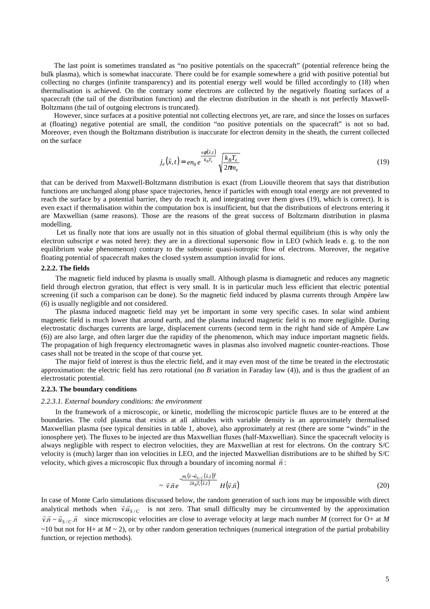The last point is sometimes translated as "no positive potentials on the spacecraft" (potential reference being the bulk plasma), which is somewhat inaccurate. There could be for example somewhere a grid with positive potential but collecting no charges (infinite transparency) and its potential energy well would be filled accordingly to (18) when thermalisation is achieved. On the contrary some electrons are collected by the negatively floating surfaces of a spacecraft (the tail of the distribution function) and the electron distribution in the sheath is not perfectly Maxwell-Boltzmann (the tail of outgoing electrons is truncated).

However, since surfaces at a positive potential not collecting electrons yet, are rare, and since the losses on surfaces at (floating) negative potential are small, the condition "no positive potentials on the spacecraft" is not so bad. Moreover, even though the Boltzmann distribution is inaccurate for electron density in the sheath, the current collected on the surface

$$
j_e(\vec{x},t) = en_0 e^{\frac{e\phi(\vec{x},t)}{k_B T_e}} \sqrt{\frac{k_B T_e}{2\pi m_e}}
$$
(19)

that can be derived from Maxwell-Boltzmann distribution is exact (from Liouville theorem that says that distribution functions are unchanged along phase space trajectories, hence if particles with enough total energy are not prevented to reach the surface by a potential barrier, they do reach it, and integrating over them gives (19), which is correct). It is even exact if thermalisation within the computation box is insufficient, but that the distributions of electrons entering it are Maxwellian (same reasons). Those are the reasons of the great success of Boltzmann distribution in plasma modelling.

Let us finally note that ions are usually not in this situation of global thermal equilibrium (this is why only the electron subscript *e* was noted here): they are in a directional supersonic flow in LEO (which leads e. g. to the non equilibrium wake phenomenon) contrary to the subsonic quasi-isotropic flow of electrons. Moreover, the negative floating potential of spacecraft makes the closed system assumption invalid for ions.

#### **2.2.2. The fields**

The magnetic field induced by plasma is usually small. Although plasma is diamagnetic and reduces any magnetic field through electron gyration, that effect is very small. It is in particular much less efficient that electric potential screening (if such a comparison can be done). So the magnetic field induced by plasma currents through Ampère law (6) is usually negligible and not considered.

The plasma induced magnetic field may yet be important in some very specific cases. In solar wind ambient magnetic field is much lower that around earth, and the plasma induced magnetic field is no more negligible. During electrostatic discharges currents are large, displacement currents (second term in the right hand side of Ampère Law (6)) are also large, and often larger due the rapidity of the phenomenon, which may induce important magnetic fields. The propagation of high frequency electromagnetic waves in plasmas also involved magnetic counter-reactions. Those cases shall not be treated in the scope of that course yet.

The major field of interest is thus the electric field, and it may even most of the time be treated in the electrostatic approximation: the electric field has zero rotational (no *B* variation in Faraday law (4)), and is thus the gradient of an electrostatic potential.

#### **2.2.3. The boundary conditions**

#### *2.2.3.1. External boundary conditions: the environment*

In the framework of a microscopic, or kinetic, modelling the microscopic particle fluxes are to be entered at the boundaries. The cold plasma that exists at all altitudes with variable density is an approximately thermalised Maxwellian plasma (see typical densities in table 1, above), also approximately at rest (there are some "winds" in the ionosphere yet). The fluxes to be injected are thus Maxwellian fluxes (half-Maxwellian). Since the spacecraft velocity is always negligible with respect to electron velocities, they are Maxwellian at rest for electrons. On the contrary S/C velocity is (much) larger than ion velocities in LEO, and the injected Maxwellian distributions are to be shifted by S/C velocity, which gives a microscopic flux through a boundary of incoming normal  $\vec{n}$ :

$$
\sim \vec{v} \cdot \vec{n} e^{-\frac{m_i(\vec{v} - \vec{u}_{S/C}(\vec{x},t))^2}{2k_B T_i(\vec{x},t)}} H(\vec{v} \cdot \vec{n})
$$
(20)

In case of Monte Carlo simulations discussed below, the random generation of such ions may be impossible with direct analytical methods when  $\vec{v}$   $\vec{u}_{S/C}$  is not zero. That small difficulty may be circumvented by the approximation  $\vec{v} \cdot \vec{n} \sim \vec{u}_{S/C} \cdot \vec{n}$  since microscopic velocities are close to average velocity at large mach number *M* (correct for O+ at *M*  $\sim$ 10 but not for H+ at *M*  $\sim$  2), or by other random generation techniques (numerical integration of the partial probability function, or rejection methods).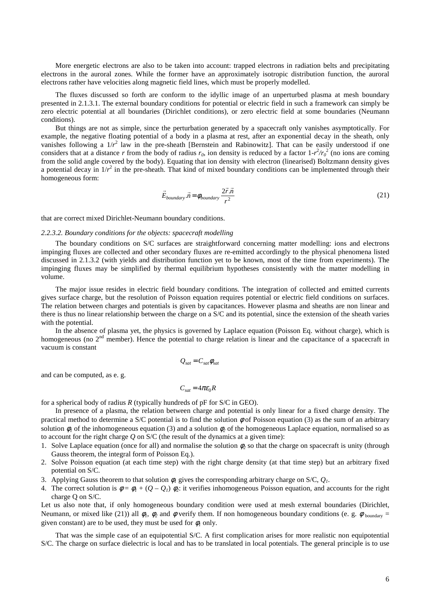More energetic electrons are also to be taken into account: trapped electrons in radiation belts and precipitating electrons in the auroral zones. While the former have an approximately isotropic distribution function, the auroral electrons rather have velocities along magnetic field lines, which must be properly modelled.

The fluxes discussed so forth are conform to the idyllic image of an unperturbed plasma at mesh boundary presented in 2.1.3.1. The external boundary conditions for potential or electric field in such a framework can simply be zero electric potential at all boundaries (Dirichlet conditions), or zero electric field at some boundaries (Neumann conditions).

But things are not as simple, since the perturbation generated by a spacecraft only vanishes asymptotically. For example, the negative floating potential of a body in a plasma at rest, after an exponential decay in the sheath, only vanishes following a  $1/r^2$  law in the pre-sheath [Bernstein and Rabinowitz]. That can be easily understood if one considers that at a distance *r* from the body of radius  $r_0$ , ion density is reduced by a factor  $1-r^2/r_0^2$  (no ions are coming from the solid angle covered by the body). Equating that ion density with electron (linearised) Boltzmann density gives a potential decay in  $1/r^2$  in the pre-sheath. That kind of mixed boundary conditions can be implemented through their homogeneous form:

$$
\vec{E}_{boundary} \cdot \vec{n} = \phi_{boundary} \frac{2\vec{r} \cdot \vec{n}}{r^2}
$$
 (21)

that are correct mixed Dirichlet-Neumann boundary conditions.

#### *2.2.3.2. Boundary conditions for the objects: spacecraft modelling*

The boundary conditions on S/C surfaces are straightforward concerning matter modelling: ions and electrons impinging fluxes are collected and other secondary fluxes are re-emitted accordingly to the physical phenomena listed discussed in 2.1.3.2 (with yields and distribution function yet to be known, most of the time from experiments). The impinging fluxes may be simplified by thermal equilibrium hypotheses consistently with the matter modelling in volume.

The major issue resides in electric field boundary conditions. The integration of collected and emitted currents gives surface charge, but the resolution of Poisson equation requires potential or electric field conditions on surfaces. The relation between charges and potentials is given by capacitances. However plasma and sheaths are non linear and there is thus no linear relationship between the charge on a S/C and its potential, since the extension of the sheath varies with the potential.

In the absence of plasma yet, the physics is governed by Laplace equation (Poisson Eq. without charge), which is homogeneous (no  $2<sup>nd</sup>$  member). Hence the potential to charge relation is linear and the capacitance of a spacecraft in vacuum is constant

$$
Q_{sat} = C_{sat} \phi_{sat}
$$

and can be computed, as e. g.

$$
C_{sat} = 4\pi \varepsilon_0 R
$$

for a spherical body of radius *R* (typically hundreds of pF for S/C in GEO).

In presence of a plasma, the relation between charge and potential is only linear for a fixed charge density. The practical method to determine a S/C potential is to find the solution  $\phi$  of Poisson equation (3) as the sum of an arbitrary solution  $\phi_1$  of the inhomogeneous equation (3) and a solution  $\phi_2$  of the homogeneous Laplace equation, normalised so as to account for the right charge *Q* on S/C (the result of the dynamics at a given time):

- 1. Solve Laplace equation (once for all) and normalise the solution  $\phi_2$  so that the charge on spacecraft is unity (through Gauss theorem, the integral form of Poisson Eq.).
- 2. Solve Poisson equation (at each time step) with the right charge density (at that time step) but an arbitrary fixed potential on S/C.
- 3. Applying Gauss theorem to that solution φ*1* gives the corresponding arbitrary charge on S/C, *Q1*.
- 4. The correct solution is  $\phi = \phi_l + (Q Q_l) \phi_2$ : it verifies inhomogeneous Poisson equation, and accounts for the right charge Q on S/C.

Let us also note that, if only homogeneous boundary condition were used at mesh external boundaries (Dirichlet, Neumann, or mixed like (21)) all  $\phi_l$ ,  $\phi_2$  and  $\phi$  verify them. If non homogeneous boundary conditions (e. g.  $\phi$  boundary = given constant) are to be used, they must be used for  $\phi_l$  only.

That was the simple case of an equipotential S/C. A first complication arises for more realistic non equipotential S/C. The charge on surface dielectric is local and has to be translated in local potentials. The general principle is to use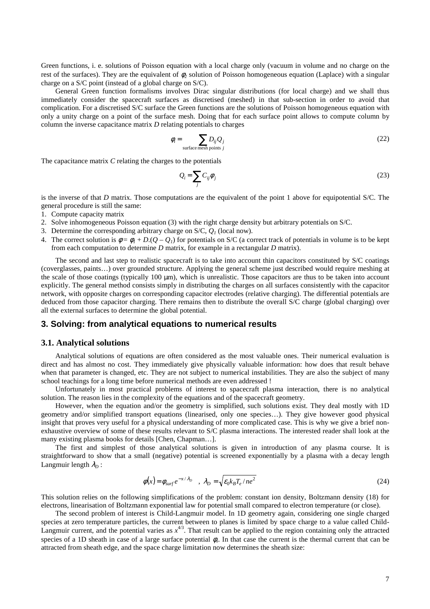Green functions, i. e. solutions of Poisson equation with a local charge only (vacuum in volume and no charge on the rest of the surfaces). They are the equivalent of φ*2* solution of Poisson homogeneous equation (Laplace) with a singular charge on a S/C point (instead of a global charge on S/C).

General Green function formalisms involves Dirac singular distributions (for local charge) and we shall thus immediately consider the spacecraft surfaces as discretised (meshed) in that sub-section in order to avoid that complication. For a discretised S/C surface the Green functions are the solutions of Poisson homogeneous equation with only a unity charge on a point of the surface mesh. Doing that for each surface point allows to compute column by column the inverse capacitance matrix *D* relating potentials to charges

$$
\phi_i = \sum_{\text{surface mesh points } j} D_{ij} Q_j \tag{22}
$$

The capacitance matrix *C* relating the charges to the potentials

$$
Q_i = \sum_j C_{ij} \phi_j \tag{23}
$$

is the inverse of that *D* matrix. Those computations are the equivalent of the point 1 above for equipotential S/C. The general procedure is still the same:

- 1. Compute capacity matrix
- 2. Solve inhomogeneous Poisson equation (3) with the right charge density but arbitrary potentials on S/C.
- 3. Determine the corresponding arbitrary charge on  $S/C$ ,  $Q<sub>I</sub>$  (local now).
- 4. The correct solution is  $\phi = \phi_l + D(Q Q_l)$  for potentials on S/C (a correct track of potentials in volume is to be kept from each computation to determine *D* matrix, for example in a rectangular *D* matrix).

The second and last step to realistic spacecraft is to take into account thin capacitors constituted by S/C coatings (coverglasses, paints…) over grounded structure. Applying the general scheme just described would require meshing at the scale of those coatings (typically 100 µm), which is unrealistic. Those capacitors are thus to be taken into account explicitly. The general method consists simply in distributing the charges on all surfaces consistently with the capacitor network, with opposite charges on corresponding capacitor electrodes (relative charging). The differential potentials are deduced from those capacitor charging. There remains then to distribute the overall S/C charge (global charging) over all the external surfaces to determine the global potential.

# **3. Solving: from analytical equations to numerical results**

#### **3.1. Analytical solutions**

Analytical solutions of equations are often considered as the most valuable ones. Their numerical evaluation is direct and has almost no cost. They immediately give physically valuable information: how does that result behave when that parameter is changed, etc. They are not subject to numerical instabilities. They are also the subject of many school teachings for a long time before numerical methods are even addressed !

Unfortunately in most practical problems of interest to spacecraft plasma interaction, there is no analytical solution. The reason lies in the complexity of the equations and of the spacecraft geometry.

However, when the equation and/or the geometry is simplified, such solutions exist. They deal mostly with 1D geometry and/or simplified transport equations (linearised, only one species…). They give however good physical insight that proves very useful for a physical understanding of more complicated case. This is why we give a brief nonexhaustive overview of some of these results relevant to S/C plasma interactions. The interested reader shall look at the many existing plasma books for details [Chen, Chapman…].

The first and simplest of those analytical solutions is given in introduction of any plasma course. It is straightforward to show that a small (negative) potential is screened exponentially by a plasma with a decay length Langmuir length  $\lambda_p$ :

$$
\phi(x) = \phi_{surf} e^{-x/\lambda_D} \quad , \quad \lambda_D = \sqrt{\varepsilon_0 k_B T_e / ne^2} \tag{24}
$$

This solution relies on the following simplifications of the problem: constant ion density, Boltzmann density (18) for electrons, linearisation of Boltzmann exponential law for potential small compared to electron temperature (or close).

The second problem of interest is Child-Langmuir model. In 1D geometry again, considering one single charged species at zero temperature particles, the current between to planes is limited by space charge to a value called Child-Langmuir current, and the potential varies as  $x^{4/3}$ . That result can be applied to the region containing only the attracted species of a 1D sheath in case of a large surface potential  $\phi_s$ . In that case the current is the thermal current that can be attracted from sheath edge, and the space charge limitation now determines the sheath size: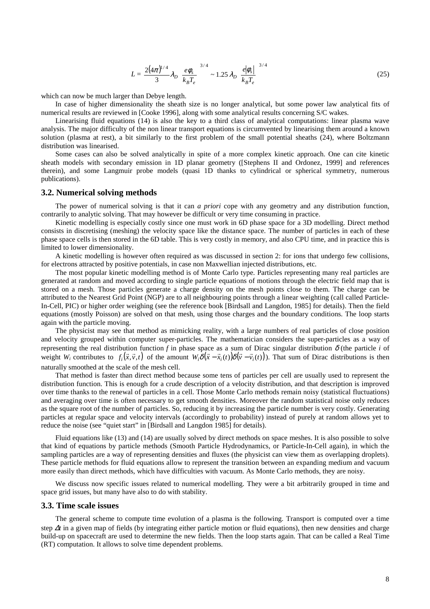$$
L = \frac{2(4\pi)^{1/4}}{3} \lambda_D \left(\frac{e\phi_s}{k_B T_e}\right)^{3/4} \sim 1.25 \lambda_D \left(\frac{e|\phi_s|}{k_B T_e}\right)^{3/4} \tag{25}
$$

which can now be much larger than Debye length.

In case of higher dimensionality the sheath size is no longer analytical, but some power law analytical fits of numerical results are reviewed in [Cooke 1996], along with some analytical results concerning S/C wakes.

Linearising fluid equations (14) is also the key to a third class of analytical computations: linear plasma wave analysis. The major difficulty of the non linear transport equations is circumvented by linearising them around a known solution (plasma at rest), a bit similarly to the first problem of the small potential sheaths (24), where Boltzmann distribution was linearised.

Some cases can also be solved analytically in spite of a more complex kinetic approach. One can cite kinetic sheath models with secondary emission in 1D planar geometry ([Stephens II and Ordonez, 1999] and references therein), and some Langmuir probe models (quasi 1D thanks to cylindrical or spherical symmetry, numerous publications).

### **3.2. Numerical solving methods**

The power of numerical solving is that it can *a priori* cope with any geometry and any distribution function, contrarily to analytic solving. That may however be difficult or very time consuming in practice.

Kinetic modelling is especially costly since one must work in 6D phase space for a 3D modelling. Direct method consists in discretising (meshing) the velocity space like the distance space. The number of particles in each of these phase space cells is then stored in the 6D table. This is very costly in memory, and also CPU time, and in practice this is limited to lower dimensionality.

A kinetic modelling is however often required as was discussed in section 2: for ions that undergo few collisions, for electrons attracted by positive potentials, in case non Maxwellian injected distributions, etc.

The most popular kinetic modelling method is of Monte Carlo type. Particles representing many real particles are generated at random and moved according to single particle equations of motions through the electric field map that is stored on a mesh. Those particles generate a charge density on the mesh points close to them. The charge can be attributed to the Nearest Grid Point (NGP) are to all neighbouring points through a linear weighting (call called Particle-In-Cell, PIC) or higher order weighing (see the reference book [Birdsall and Langdon, 1985] for details). Then the field equations (mostly Poisson) are solved on that mesh, using those charges and the boundary conditions. The loop starts again with the particle moving.

The physicist may see that method as mimicking reality, with a large numbers of real particles of close position and velocity grouped within computer super-particles. The mathematician considers the super-particles as a way of representing the real distribution function f in phase space as a sum of Dirac singular distribution  $\delta$  (the particle *i* of expressioning the real distribution function f in phase space as a sum of Drac singular distribution  $\vec{v}$  (in particle t of weight  $W_i$  contributes to  $f_i(\vec{x}, \vec{v}, t)$  of the amount  $W_i \delta(\vec{x} - \vec{x}_i(t)) \delta(\vec{v} - \vec{v}_i(t))$ ). naturally smoothed at the scale of the mesh cell.

That method is faster than direct method because some tens of particles per cell are usually used to represent the distribution function. This is enough for a crude description of a velocity distribution, and that description is improved over time thanks to the renewal of particles in a cell. Those Monte Carlo methods remain noisy (statistical fluctuations) and averaging over time is often necessary to get smooth densities. Moreover the random statistical noise only reduces as the square root of the number of particles. So, reducing it by increasing the particle number is very costly. Generating particles at regular space and velocity intervals (accordingly to probability) instead of purely at random allows yet to reduce the noise (see "quiet start" in [Birdsall and Langdon 1985] for details).

Fluid equations like (13) and (14) are usually solved by direct methods on space meshes. It is also possible to solve that kind of equations by particle methods (Smooth Particle Hydrodynamics, or Particle-In-Cell again), in which the sampling particles are a way of representing densities and fluxes (the physicist can view them as overlapping droplets). These particle methods for fluid equations allow to represent the transition between an expanding medium and vacuum more easily than direct methods, which have difficulties with vacuum. As Monte Carlo methods, they are noisy.

We discuss now specific issues related to numerical modelling. They were a bit arbitrarily grouped in time and space grid issues, but many have also to do with stability.

## **3.3. Time scale issues**

The general scheme to compute time evolution of a plasma is the following. Transport is computed over a time step ∆*t* in a given map of fields (by integrating either particle motion or fluid equations), then new densities and charge build-up on spacecraft are used to determine the new fields. Then the loop starts again. That can be called a Real Time (RT) computation. It allows to solve time dependent problems.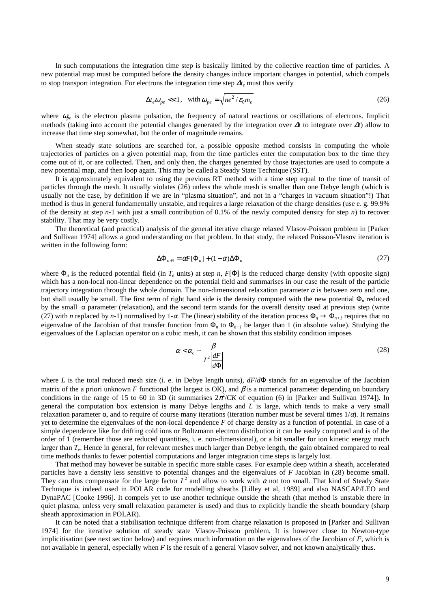In such computations the integration time step is basically limited by the collective reaction time of particles. A new potential map must be computed before the density changes induce important changes in potential, which compels to stop transport integration. For electrons the integration time step  $\Delta t_e$  must thus verify

$$
\Delta t_e \omega_{pe} \ll 1, \quad \text{with } \omega_{pe} = \sqrt{ne^2/\varepsilon_0 m_e} \tag{26}
$$

where  $\omega_{pe}$  is the electron plasma pulsation, the frequency of natural reactions or oscillations of electrons. Implicit methods (taking into account the potential changes generated by the integration over ∆*t* to integrate over ∆*t*) allow to increase that time step somewhat, but the order of magnitude remains.

When steady state solutions are searched for, a possible opposite method consists in computing the whole trajectories of particles on a given potential map, from the time particles enter the computation box to the time they come out of it, or are collected. Then, and only then, the charges generated by those trajectories are used to compute a new potential map, and then loop again. This may be called a Steady State Technique (SST).

It is approximately equivalent to using the previous RT method with a time step equal to the time of transit of particles through the mesh. It usually violates (26) unless the whole mesh is smaller than one Debye length (which is usually not the case, by definition if we are in "plasma situation", and not in a "charges in vacuum situation"!) That method is thus in general fundamentally unstable, and requires a large relaxation of the charge densities (use e. g. 99.9% of the density at step *n*-1 with just a small contribution of 0.1% of the newly computed density for step *n*) to recover stability. That may be very costly.

The theoretical (and practical) analysis of the general iterative charge relaxed Vlasov-Poisson problem in [Parker and Sullivan 1974] allows a good understanding on that problem. In that study, the relaxed Poisson-Vlasov iteration is written in the following form:

$$
\Delta \Phi_{n+1} = \alpha F[\Phi_n] + (1 - \alpha) \Delta \Phi_n \tag{27}
$$

where  $\Phi_n$  is the reduced potential field (in  $T_e$  units) at step *n*,  $F[\Phi]$  is the reduced charge density (with opposite sign) which has a non-local non-linear dependence on the potential field and summarises in our case the result of the particle trajectory integration through the whole domain. The non-dimensional relaxation parameter  $\alpha$  is between zero and one, but shall usually be small. The first term of right hand side is the density computed with the new potential Φ*n* reduced by the small  $\alpha$  parameter (relaxation), and the second term stands for the overall density used at previous step (write (27) with *n* replaced by *n*-1) normalised by 1- $\alpha$ . The (linear) stability of the iteration process  $\Phi_n \to \Phi_{n+1}$  requires that no eigenvalue of the Jacobian of that transfer function from  $\Phi_n$  to  $\Phi_{n+1}$  be larger than 1 (in absolute value). Studying the eigenvalues of the Laplacian operator on a cubic mesh, it can be shown that this stability condition imposes

$$
\alpha < \alpha_c \sim \frac{\beta}{L^2 \left| \frac{dF}{d\Phi} \right|} \tag{28}
$$

where *L* is the total reduced mesh size (i. e. in Debye length units),  $dF/d\Phi$  stands for an eigenvalue of the Jacobian matrix of the a priori unknown *F* functional (the largest is OK), and  $\beta$  is a numerical parameter depending on boundary conditions in the range of 15 to 60 in 3D (it summarises  $2\pi^2/CK$  of equation (6) in [Parker and Sullivan 1974]). In general the computation box extension is many Debye lengths and *L* is large, which tends to make a very small relaxation parameter α, and to require of course many iterations (iteration number must be several times  $1/α$ ). It remains yet to determine the eigenvalues of the non-local dependence *F* of charge density as a function of potential. In case of a simple dependence like for drifting cold ions or Boltzmann electron distribution it can be easily computed and is of the order of 1 (remember those are reduced quantities, i. e. non-dimensional), or a bit smaller for ion kinetic energy much larger than *T<sub>e</sub>*. Hence in general, for relevant meshes much larger than Debye length, the gain obtained compared to real time methods thanks to fewer potential computations and larger integration time steps is largely lost.

That method may however be suitable in specific more stable cases. For example deep within a sheath, accelerated particles have a density less sensitive to potential changes and the eigenvalues of *F* Jacobian in (28) become small. They can thus compensate for the large factor  $L^2$  and allow to work with  $\alpha$  not too small. That kind of Steady State Technique is indeed used in POLAR code for modelling sheaths [Lilley et al, 1989] and also NASCAP/LEO and DynaPAC [Cooke 1996]. It compels yet to use another technique outside the sheath (that method is unstable there in quiet plasma, unless very small relaxation parameter is used) and thus to explicitly handle the sheath boundary (sharp sheath approximation in POLAR).

It can be noted that a stabilisation technique different from charge relaxation is proposed in [Parker and Sullivan 1974] for the iterative solution of steady state Vlasov-Poisson problem. It is however close to Newton-type implicitisation (see next section below) and requires much information on the eigenvalues of the Jacobian of *F*, which is not available in general, especially when *F* is the result of a general Vlasov solver, and not known analytically thus.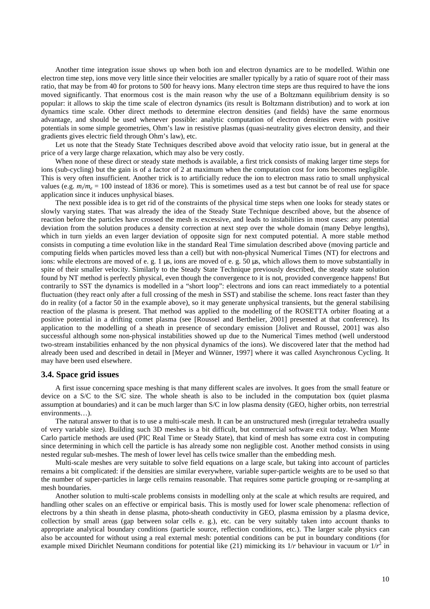Another time integration issue shows up when both ion and electron dynamics are to be modelled. Within one electron time step, ions move very little since their velocities are smaller typically by a ratio of square root of their mass ratio, that may be from 40 for protons to 500 for heavy ions. Many electron time steps are thus required to have the ions moved significantly. That enormous cost is the main reason why the use of a Boltzmann equilibrium density is so popular: it allows to skip the time scale of electron dynamics (its result is Boltzmann distribution) and to work at ion dynamics time scale. Other direct methods to determine electron densities (and fields) have the same enormous advantage, and should be used whenever possible: analytic computation of electron densities even with positive potentials in some simple geometries, Ohm's law in resistive plasmas (quasi-neutrality gives electron density, and their gradients gives electric field through Ohm's law), etc.

Let us note that the Steady State Techniques described above avoid that velocity ratio issue, but in general at the price of a very large charge relaxation, which may also be very costly.

When none of these direct or steady state methods is available, a first trick consists of making larger time steps for ions (sub-cycling) but the gain is of a factor of 2 at maximum when the computation cost for ions becomes negligible. This is very often insufficient. Another trick is to artificially reduce the ion to electron mass ratio to small unphysical values (e.g.  $m_i/m_e = 100$  instead of 1836 or more). This is sometimes used as a test but cannot be of real use for space application since it induces unphysical biases.

The next possible idea is to get rid of the constraints of the physical time steps when one looks for steady states or slowly varying states. That was already the idea of the Steady State Technique described above, but the absence of reaction before the particles have crossed the mesh is excessive, and leads to instabilities in most cases: any potential deviation from the solution produces a density correction at next step over the whole domain (many Debye lengths), which in turn yields an even larger deviation of opposite sign for next computed potential. A more stable method consists in computing a time evolution like in the standard Real Time simulation described above (moving particle and computing fields when particles moved less than a cell) but with non-physical Numerical Times (NT) for electrons and ions: while electrons are moved of e. g. 1 µs, ions are moved of e. g. 50 µs, which allows them to move substantially in spite of their smaller velocity. Similarly to the Steady State Technique previously described, the steady state solution found by NT method is perfectly physical, even though the convergence to it is not, provided convergence happens! But contrarily to SST the dynamics is modelled in a "short loop": electrons and ions can react immediately to a potential fluctuation (they react only after a full crossing of the mesh in SST) and stabilise the scheme. Ions react faster than they do in reality (of a factor 50 in the example above), so it may generate unphysical transients, but the general stabilising reaction of the plasma is present. That method was applied to the modelling of the ROSETTA orbiter floating at a positive potential in a drifting comet plasma (see [Roussel and Berthelier, 2001] presented at that conference). Its application to the modelling of a sheath in presence of secondary emission [Jolivet and Roussel, 2001] was also successful although some non-physical instabilities showed up due to the Numerical Times method (well understood two-stream instabilities enhanced by the non physical dynamics of the ions). We discovered later that the method had already been used and described in detail in [Meyer and Wünner, 1997] where it was called Asynchronous Cycling. It may have been used elsewhere.

### **3.4. Space grid issues**

A first issue concerning space meshing is that many different scales are involves. It goes from the small feature or device on a S/C to the S/C size. The whole sheath is also to be included in the computation box (quiet plasma assumption at boundaries) and it can be much larger than S/C in low plasma density (GEO, higher orbits, non terrestrial environments…).

The natural answer to that is to use a multi-scale mesh. It can be an unstructured mesh (irregular tetrahedra usually of very variable size). Building such 3D meshes is a bit difficult, but commercial software exit today. When Monte Carlo particle methods are used (PIC Real Time or Steady State), that kind of mesh has some extra cost in computing since determining in which cell the particle is has already some non negligible cost. Another method consists in using nested regular sub-meshes. The mesh of lower level has cells twice smaller than the embedding mesh.

Multi-scale meshes are very suitable to solve field equations on a large scale, but taking into account of particles remains a bit complicated: if the densities are similar everywhere, variable super-particle weights are to be used so that the number of super-particles in large cells remains reasonable. That requires some particle grouping or re-sampling at mesh boundaries.

Another solution to multi-scale problems consists in modelling only at the scale at which results are required, and handling other scales on an effective or empirical basis. This is mostly used for lower scale phenomena: reflection of electrons by a thin sheath in dense plasma, photo-sheath conductivity in GEO, plasma emission by a plasma device, collection by small areas (gap between solar cells e. g.), etc. can be very suitably taken into account thanks to appropriate analytical boundary conditions (particle source, reflection conditions, etc.). The larger scale physics can also be accounted for without using a real external mesh: potential conditions can be put in boundary conditions (for example mixed Dirichlet Neumann conditions for potential like (21) mimicking its  $1/r$  behaviour in vacuum or  $1/r^2$  in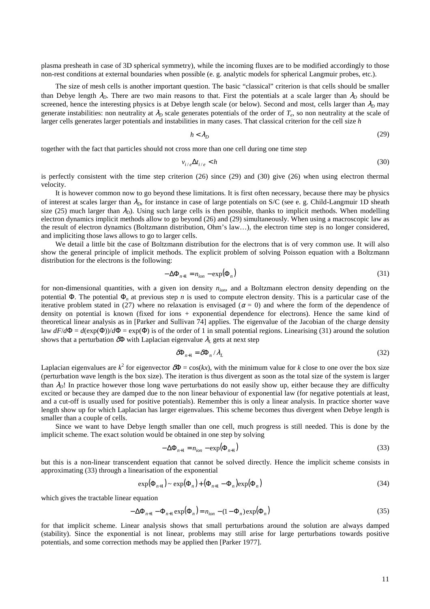plasma presheath in case of 3D spherical symmetry), while the incoming fluxes are to be modified accordingly to those non-rest conditions at external boundaries when possible (e. g. analytic models for spherical Langmuir probes, etc.).

The size of mesh cells is another important question. The basic "classical" criterion is that cells should be smaller than Debye length  $\lambda_p$ . There are two main reasons to that. First the potentials at a scale larger than  $\lambda_p$  should be screened, hence the interesting physics is at Debye length scale (or below). Second and most, cells larger than  $\lambda_D$  may generate instabilities: non neutrality at  $\lambda_D$  scale generates potentials of the order of  $T_e$ , so non neutrality at the scale of larger cells generates larger potentials and instabilities in many cases. That classical criterion for the cell size *h*

$$
h < \lambda_D \tag{29}
$$

together with the fact that particles should not cross more than one cell during one time step

$$
v_{i/e}\Delta t_{i/e} < h \tag{30}
$$

is perfectly consistent with the time step criterion (26) since (29) and (30) give (26) when using electron thermal velocity.

It is however common now to go beyond these limitations. It is first often necessary, because there may be physics of interest at scales larger than λ*D*, for instance in case of large potentials on S/C (see e. g. Child-Langmuir 1D sheath size (25) much larger than  $\lambda$ <sub>D</sub>). Using such large cells is then possible, thanks to implicit methods. When modelling electron dynamics implicit methods allow to go beyond (26) and (29) simultaneously. When using a macroscopic law as the result of electron dynamics (Boltzmann distribution, Ohm's law…), the electron time step is no longer considered, and impliciting those laws allows to go to larger cells.

We detail a little bit the case of Boltzmann distribution for the electrons that is of very common use. It will also show the general principle of implicit methods. The explicit problem of solving Poisson equation with a Boltzmann distribution for the electrons is the following:

$$
-\Delta\Phi_{n+1} = n_{ion} - \exp(\Phi_n)
$$
\n(31)

for non-dimensional quantities, with a given ion density *nion*, and a Boltzmann electron density depending on the potential Φ. The potential Φ*n* at previous step *n* is used to compute electron density. This is a particular case of the iterative problem stated in (27) where no relaxation is envisaged ( $\alpha = 0$ ) and where the form of the dependence of density on potential is known (fixed for ions + exponential dependence for electrons). Hence the same kind of theoretical linear analysis as in [Parker and Sullivan 74] applies. The eigenvalue of the Jacobian of the charge density law  $dF/d\Phi = d(\exp(\Phi))/d\Phi = \exp(\Phi)$  is of the order of 1 in small potential regions. Linearising (31) around the solution shows that a perturbation  $\delta\Phi$  with Laplacian eigenvalue  $\lambda_L$  gets at next step

$$
\delta \Phi_{n+1} = \delta \Phi_n / \lambda_L \tag{32}
$$

Laplacian eigenvalues are  $k^2$  for eigenvector  $\delta \Phi = \cos(kx)$ , with the minimum value for *k* close to one over the box size (perturbation wave length is the box size). The iteration is thus divergent as soon as the total size of the system is larger than  $\lambda_p$ ! In practice however those long wave perturbations do not easily show up, either because they are difficulty excited or because they are damped due to the non linear behaviour of exponential law (for negative potentials at least, and a cut-off is usually used for positive potentials). Remember this is only a linear analysis. In practice shorter wave length show up for which Laplacian has larger eigenvalues. This scheme becomes thus divergent when Debye length is smaller than a couple of cells.

Since we want to have Debye length smaller than one cell, much progress is still needed. This is done by the implicit scheme. The exact solution would be obtained in one step by solving

$$
-\Delta\Phi_{n+1} = n_{ion} - \exp(\Phi_{n+1})
$$
\n(33)

but this is a non-linear transcendent equation that cannot be solved directly. Hence the implicit scheme consists in approximating (33) through a linearisation of the exponential

$$
\exp(\Phi_{n+1}) \sim \exp(\Phi_n) + (\Phi_{n+1} - \Phi_n) \exp(\Phi_n)
$$
\n(34)

which gives the tractable linear equation

$$
-\Delta\Phi_{n+1} - \Phi_{n+1} \exp(\Phi_n) = n_{ion} - (1 - \Phi_n) \exp(\Phi_n)
$$
\n(35)

for that implicit scheme. Linear analysis shows that small perturbations around the solution are always damped (stability). Since the exponential is not linear, problems may still arise for large perturbations towards positive potentials, and some correction methods may be applied then [Parker 1977].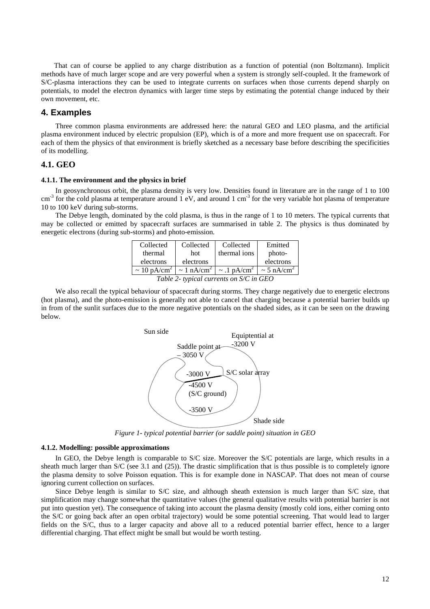That can of course be applied to any charge distribution as a function of potential (non Boltzmann). Implicit methods have of much larger scope and are very powerful when a system is strongly self-coupled. It the framework of S/C-plasma interactions they can be used to integrate currents on surfaces when those currents depend sharply on potentials, to model the electron dynamics with larger time steps by estimating the potential change induced by their own movement, etc.

# **4. Examples**

Three common plasma environments are addressed here: the natural GEO and LEO plasma, and the artificial plasma environment induced by electric propulsion (EP), which is of a more and more frequent use on spacecraft. For each of them the physics of that environment is briefly sketched as a necessary base before describing the specificities of its modelling.

### **4.1. GEO**

#### **4.1.1. The environment and the physics in brief**

In geosynchronous orbit, the plasma density is very low. Densities found in literature are in the range of 1 to 100  $cm^{-3}$  for the cold plasma at temperature around 1 eV, and around 1 cm<sup>-3</sup> for the very variable hot plasma of temperature 10 to 100 keV during sub-storms.

The Debye length, dominated by the cold plasma, is thus in the range of 1 to 10 meters. The typical currents that may be collected or emitted by spacecraft surfaces are summarised in table 2. The physics is thus dominated by energetic electrons (during sub-storms) and photo-emission.

| Collected                               | Collected | Collected                                                      | Emitted                     |  |  |
|-----------------------------------------|-----------|----------------------------------------------------------------|-----------------------------|--|--|
| thermal                                 | hot       | thermal ions                                                   | photo-                      |  |  |
| electrons                               | electrons |                                                                | electrons                   |  |  |
| $\sim 10 \text{ pA/cm}^2$               |           | $\sim 1$ nA/cm <sup>2</sup> $\sim 1$ pA/cm <sup>2</sup> $\mid$ | $\sim$ 5 nA/cm <sup>2</sup> |  |  |
| Table 2- typical currents on S/C in GEO |           |                                                                |                             |  |  |

We also recall the typical behaviour of spacecraft during storms. They charge negatively due to energetic electrons (hot plasma), and the photo-emission is generally not able to cancel that charging because a potential barrier builds up in from of the sunlit surfaces due to the more negative potentials on the shaded sides, as it can be seen on the drawing below.



*Figure 1- typical potential barrier (or saddle point) situation in GEO*

#### **4.1.2. Modelling: possible approximations**

In GEO, the Debye length is comparable to S/C size. Moreover the S/C potentials are large, which results in a sheath much larger than S/C (see 3.1 and (25)). The drastic simplification that is thus possible is to completely ignore the plasma density to solve Poisson equation. This is for example done in NASCAP. That does not mean of course ignoring current collection on surfaces.

Since Debye length is similar to S/C size, and although sheath extension is much larger than S/C size, that simplification may change somewhat the quantitative values (the general qualitative results with potential barrier is not put into question yet). The consequence of taking into account the plasma density (mostly cold ions, either coming onto the S/C or going back after an open orbital trajectory) would be some potential screening. That would lead to larger fields on the S/C, thus to a larger capacity and above all to a reduced potential barrier effect, hence to a larger differential charging. That effect might be small but would be worth testing.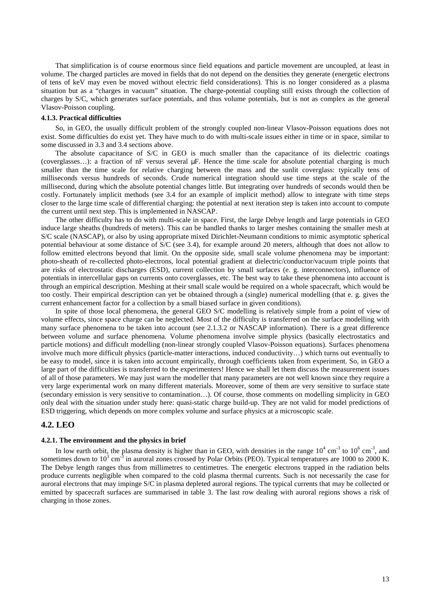That simplification is of course enormous since field equations and particle movement are uncoupled, at least in volume. The charged particles are moved in fields that do not depend on the densities they generate (energetic electrons of tens of keV may even be moved without electric field considerations). This is no longer considered as a plasma situation but as a "charges in vacuum" situation. The charge-potential coupling still exists through the collection of charges by S/C, which generates surface potentials, and thus volume potentials, but is not as complex as the general Vlasov-Poisson coupling.

#### **4.1.3. Practical difficulties**

So, in GEO, the usually difficult problem of the strongly coupled non-linear Vlasov-Poisson equations does not exist. Some difficulties do exist yet. They have much to do with multi-scale issues either in time or in space, similar to some discussed in 3.3 and 3.4 sections above.

The absolute capacitance of S/C in GEO is much smaller than the capacitance of its dielectric coatings (coverglasses...): a fraction of  $nF$  versus several  $\mu F$ . Hence the time scale for absolute potential charging is much smaller than the time scale for relative charging between the mass and the sunlit coverglass: typically tens of milliseconds versus hundreds of seconds. Crude numerical integration should use time steps at the scale of the millisecond, during which the absolute potential changes little. But integrating over hundreds of seconds would then be costly. Fortunately implicit methods (see 3.4 for an example of implicit method) allow to integrate with time steps closer to the large time scale of differential charging: the potential at next iteration step is taken into account to compute the current until next step. This is implemented in NASCAP.

The other difficulty has to do with multi-scale in space. First, the large Debye length and large potentials in GEO induce large sheaths (hundreds of meters). This can be handled thanks to larger meshes containing the smaller mesh at S/C scale (NASCAP), or also by using appropriate mixed Dirichlet-Neumann conditions to mimic asymptotic spherical potential behaviour at some distance of S/C (see 3.4), for example around 20 meters, although that does not allow to follow emitted electrons beyond that limit. On the opposite side, small scale volume phenomena may be important: photo-sheath of re-collected photo-electrons, local potential gradient at dielectric/conductor/vacuum triple points that are risks of electrostatic discharges (ESD), current collection by small surfaces (e. g. interconnectors), influence of potentials in intercellular gaps on currents onto coverglasses, etc. The best way to take these phenomena into account is through an empirical description. Meshing at their small scale would be required on a whole spacecraft, which would be too costly. Their empirical description can yet be obtained through a (single) numerical modelling (that e. g. gives the current enhancement factor for a collection by a small biased surface in given conditions).

In spite of those local phenomena, the general GEO S/C modelling is relatively simple from a point of view of volume effects, since space charge can be neglected. Most of the difficulty is transferred on the surface modelling with many surface phenomena to be taken into account (see 2.1.3.2 or NASCAP information). There is a great difference between volume and surface phenomena. Volume phenomena involve simple physics (basically electrostatics and particle motions) and difficult modelling (non-linear strongly coupled Vlasov-Poisson equations). Surfaces phenomena involve much more difficult physics (particle-matter interactions, induced conductivity…) which turns out eventually to be easy to model, since it is taken into account empirically, through coefficients taken from experiment. So, in GEO a large part of the difficulties is transferred to the experimenters! Hence we shall let them discuss the measurement issues of all of those parameters. We may just warn the modeller that many parameters are not well known since they require a very large experimental work on many different materials. Moreover, some of them are very sensitive to surface state (secondary emission is very sensitive to contamination…). Of course, those comments on modelling simplicity in GEO only deal with the situation under study here: quasi-static charge build-up. They are not valid for model predictions of ESD triggering, which depends on more complex volume and surface physics at a microscopic scale.

# **4.2. LEO**

#### **4.2.1. The environment and the physics in brief**

In low earth orbit, the plasma density is higher than in GEO, with densities in the range  $10^4$  cm<sup>-3</sup> to  $10^6$  cm<sup>-3</sup>, and sometimes down to  $10^3$  cm<sup>-3</sup> in auroral zones crossed by Polar Orbits (PEO). Typical temperatures are 1000 to 2000 K. The Debye length ranges thus from millimetres to centimetres. The energetic electrons trapped in the radiation belts produce currents negligible when compared to the cold plasma thermal currents. Such is not necessarily the case for auroral electrons that may impinge S/C in plasma depleted auroral regions. The typical currents that may be collected or emitted by spacecraft surfaces are summarised in table 3. The last row dealing with auroral regions shows a risk of charging in those zones.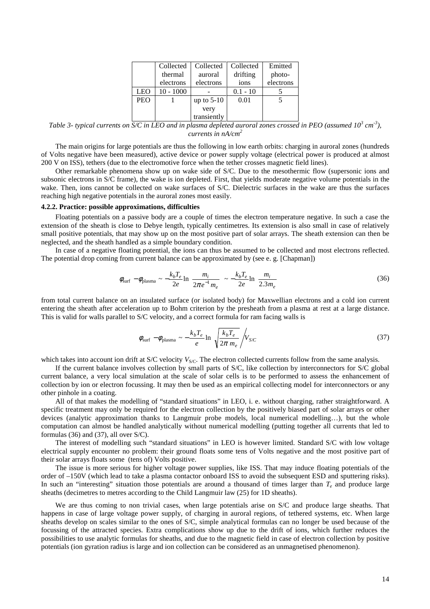|            | Collected   | Collected    | Collected  | Emitted   |
|------------|-------------|--------------|------------|-----------|
|            | thermal     | auroral      | drifting   | photo-    |
|            | electrons   | electrons    | ions       | electrons |
| <b>LEO</b> | $10 - 1000$ |              | $0.1 - 10$ |           |
| <b>PEO</b> |             | up to $5-10$ | 0.01       |           |
|            |             | very         |            |           |
|            |             | transiently  |            |           |

*Table 3- typical currents on S/C in LEO and in plasma depleted auroral zones crossed in PEO (assumed 10<sup>3</sup> cm-3), currents in nA/cm<sup>2</sup>*

The main origins for large potentials are thus the following in low earth orbits: charging in auroral zones (hundreds of Volts negative have been measured), active device or power supply voltage (electrical power is produced at almost 200 V on ISS), tethers (due to the electromotive force when the tether crosses magnetic field lines).

Other remarkable phenomena show up on wake side of S/C. Due to the mesothermic flow (supersonic ions and subsonic electrons in S/C frame), the wake is ion depleted. First, that yields moderate negative volume potentials in the wake. Then, ions cannot be collected on wake surfaces of S/C. Dielectric surfaces in the wake are thus the surfaces reaching high negative potentials in the auroral zones most easily.

#### **4.2.2. Practice: possible approximations, difficulties**

Floating potentials on a passive body are a couple of times the electron temperature negative. In such a case the extension of the sheath is close to Debye length, typically centimetres. Its extension is also small in case of relatively small positive potentials, that may show up on the most positive part of solar arrays. The sheath extension can then be neglected, and the sheath handled as a simple boundary condition.

In case of a negative floating potential, the ions can thus be assumed to be collected and most electrons reflected. The potential drop coming from current balance can be approximated by (see e. g. [Chapman])

$$
\phi_{\text{surf}} - \phi_{\text{plasma}} \sim -\frac{k_b T_e}{2e} \ln \left( \frac{m_i}{2\pi e^{-1} m_e} \right) \sim -\frac{k_b T_e}{2e} \ln \left( \frac{m_i}{2.3 m_e} \right) \tag{36}
$$

from total current balance on an insulated surface (or isolated body) for Maxwellian electrons and a cold ion current entering the sheath after acceleration up to Bohm criterion by the presheath from a plasma at rest at a large distance. This is valid for walls parallel to S/C velocity, and a correct formula for ram facing walls is

$$
\phi_{\text{surf}} - \phi_{\text{plasma}} \sim -\frac{k_b T_e}{e} \ln \left( \sqrt{\frac{k_b T_e}{2\pi m_e}} / V_{S/C} \right)
$$
\n(37)

which takes into account ion drift at S/C velocity *V*<sub>S/C</sub>. The electron collected currents follow from the same analysis.

If the current balance involves collection by small parts of S/C, like collection by interconnectors for S/C global current balance, a very local simulation at the scale of solar cells is to be performed to assess the enhancement of collection by ion or electron focussing. It may then be used as an empirical collecting model for interconnectors or any other pinhole in a coating.

All of that makes the modelling of "standard situations" in LEO, i. e. without charging, rather straightforward. A specific treatment may only be required for the electron collection by the positively biased part of solar arrays or other devices (analytic approximation thanks to Langmuir probe models, local numerical modelling…), but the whole computation can almost be handled analytically without numerical modelling (putting together all currents that led to formulas (36) and (37), all over S/C).

The interest of modelling such "standard situations" in LEO is however limited. Standard S/C with low voltage electrical supply encounter no problem: their ground floats some tens of Volts negative and the most positive part of their solar arrays floats some (tens of) Volts positive.

The issue is more serious for higher voltage power supplies, like ISS. That may induce floating potentials of the order of –150V (which lead to take a plasma contactor onboard ISS to avoid the subsequent ESD and sputtering risks). In such an "interesting" situation those potentials are around a thousand of times larger than  $T_e$  and produce large sheaths (decimetres to metres according to the Child Langmuir law (25) for 1D sheaths).

We are thus coming to non trivial cases, when large potentials arise on S/C and produce large sheaths. That happens in case of large voltage power supply, of charging in auroral regions, of tethered systems, etc. When large sheaths develop on scales similar to the ones of S/C, simple analytical formulas can no longer be used because of the focussing of the attracted species. Extra complications show up due to the drift of ions, which further reduces the possibilities to use analytic formulas for sheaths, and due to the magnetic field in case of electron collection by positive potentials (ion gyration radius is large and ion collection can be considered as an unmagnetised phenomenon).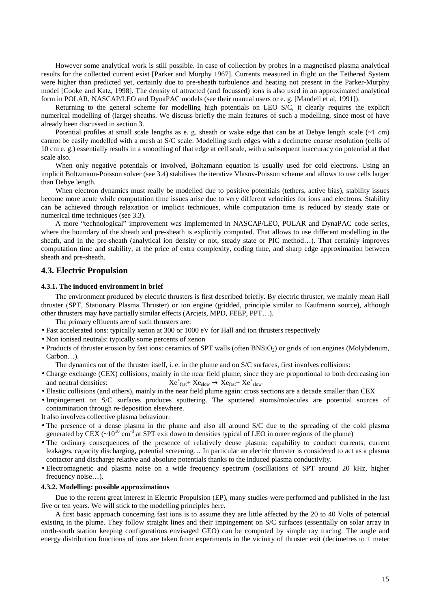However some analytical work is still possible. In case of collection by probes in a magnetised plasma analytical results for the collected current exist [Parker and Murphy 1967]. Currents measured in flight on the Tethered System were higher than predicted yet, certainly due to pre-sheath turbulence and heating not present in the Parker-Murphy model [Cooke and Katz, 1998]. The density of attracted (and focussed) ions is also used in an approximated analytical form in POLAR, NASCAP/LEO and DynaPAC models (see their manual users or e. g. [Mandell et al, 1991]).

Returning to the general scheme for modelling high potentials on LEO S/C, it clearly requires the explicit numerical modelling of (large) sheaths. We discuss briefly the main features of such a modelling, since most of have already been discussed in section 3.

Potential profiles at small scale lengths as e. g. sheath or wake edge that can be at Debye length scale  $(-1 \text{ cm})$ cannot be easily modelled with a mesh at S/C scale. Modelling such edges with a decimetre coarse resolution (cells of 10 cm e. g.) essentially results in a smoothing of that edge at cell scale, with a subsequent inaccuracy on potential at that scale also.

When only negative potentials or involved, Boltzmann equation is usually used for cold electrons. Using an implicit Boltzmann-Poisson solver (see 3.4) stabilises the iterative Vlasov-Poisson scheme and allows to use cells larger than Debye length.

When electron dynamics must really be modelled due to positive potentials (tethers, active bias), stability issues become more acute while computation time issues arise due to very different velocities for ions and electrons. Stability can be achieved through relaxation or implicit techniques, while computation time is reduced by steady state or numerical time techniques (see 3.3).

A more "technological" improvement was implemented in NASCAP/LEO, POLAR and DynaPAC code series, where the boundary of the sheath and pre-sheath is explicitly computed. That allows to use different modelling in the sheath, and in the pre-sheath (analytical ion density or not, steady state or PIC method…). That certainly improves computation time and stability, at the price of extra complexity, coding time, and sharp edge approximation between sheath and pre-sheath.

### **4.3. Electric Propulsion**

#### **4.3.1. The induced environment in brief**

The environment produced by electric thrusters is first described briefly. By electric thruster, we mainly mean Hall thruster (SPT, Stationary Plasma Thruster) or ion engine (gridded, principle similar to Kaufmann source), although other thrusters may have partially similar effects (Arcjets, MPD, FEEP, PPT…).

The primary effluents are of such thrusters are:

- Fast accelerated ions: typically xenon at 300 or 1000 eV for Hall and ion thrusters respectively
- Non ionised neutrals: typically some percents of xenon
- Products of thruster erosion by fast ions: ceramics of SPT walls (often BNSiO<sub>2</sub>) or grids of ion engines (Molybdenum, Carbon…).

The dynamics out of the thruster itself, i. e. in the plume and on S/C surfaces, first involves collisions:

- Charge exchange (CEX) collisions, mainly in the near field plume, since they are proportional to both decreasing ion and neutral densities:  $f_{\text{fast}}+Xe_{\text{slow}} \rightarrow Xe_{\text{fast}}+Xe_{\text{slow}}$
- Elastic collisions (and others), mainly in the near field plume again: cross sections are a decade smaller than CEX

• Impingement on S/C surfaces produces sputtering. The sputtered atoms/molecules are potential sources of contamination through re-deposition elsewhere.

- It also involves collective plasma behaviour:
- The presence of a dense plasma in the plume and also all around S/C due to the spreading of the cold plasma generated by CEX ( $\sim 10^{10}$  cm<sup>-3</sup> at SPT exit down to densities typical of LEO in outer regions of the plume)
- The ordinary consequences of the presence of relatively dense plasma: capability to conduct currents, current leakages, capacity discharging, potential screening… In particular an electric thruster is considered to act as a plasma contactor and discharge relative and absolute potentials thanks to the induced plasma conductivity.
- Electromagnetic and plasma noise on a wide frequency spectrum (oscillations of SPT around 20 kHz, higher frequency noise…).

### **4.3.2. Modelling: possible approximations**

Due to the recent great interest in Electric Propulsion (EP), many studies were performed and published in the last five or ten years. We will stick to the modelling principles here.

A first basic approach concerning fast ions is to assume they are little affected by the 20 to 40 Volts of potential existing in the plume. They follow straight lines and their impingement on S/C surfaces (essentially on solar array in north-south station keeping configurations envisaged GEO) can be computed by simple ray tracing. The angle and energy distribution functions of ions are taken from experiments in the vicinity of thruster exit (decimetres to 1 meter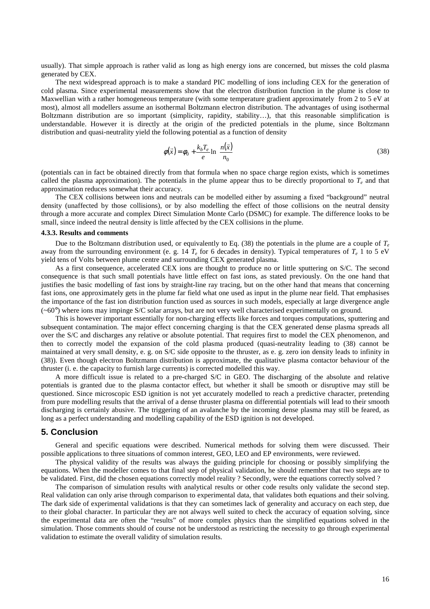usually). That simple approach is rather valid as long as high energy ions are concerned, but misses the cold plasma generated by CEX.

The next widespread approach is to make a standard PIC modelling of ions including CEX for the generation of cold plasma. Since experimental measurements show that the electron distribution function in the plume is close to Maxwellian with a rather homogeneous temperature (with some temperature gradient approximately from 2 to 5 eV at most), almost all modellers assume an isothermal Boltzmann electron distribution. The advantages of using isothermal Boltzmann distribution are so important (simplicity, rapidity, stability…), that this reasonable simplification is understandable. However it is directly at the origin of the predicted potentials in the plume, since Boltzmann distribution and quasi-neutrality yield the following potential as a function of density

$$
\phi(\vec{x}) = \phi_0 + \frac{k_b T_e}{e} \ln\left(\frac{n(\vec{x})}{n_0}\right) \tag{38}
$$

(potentials can in fact be obtained directly from that formula when no space charge region exists, which is sometimes called the plasma approximation). The potentials in the plume appear thus to be directly proportional to  $T_e$  and that approximation reduces somewhat their accuracy.

The CEX collisions between ions and neutrals can be modelled either by assuming a fixed "background" neutral density (unaffected by those collisions), or by also modelling the effect of those collisions on the neutral density through a more accurate and complex Direct Simulation Monte Carlo (DSMC) for example. The difference looks to be small, since indeed the neutral density is little affected by the CEX collisions in the plume.

#### **4.3.3. Results and comments**

Due to the Boltzmann distribution used, or equivalently to Eq.  $(38)$  the potentials in the plume are a couple of  $T_e$ away from the surrounding environment (e. g. 14  $T_e$  for 6 decades in density). Typical temperatures of  $T_e$  1 to 5 eV yield tens of Volts between plume centre and surrounding CEX generated plasma.

As a first consequence, accelerated CEX ions are thought to produce no or little sputtering on S/C. The second consequence is that such small potentials have little effect on fast ions, as stated previously. On the one hand that justifies the basic modelling of fast ions by straight-line ray tracing, but on the other hand that means that concerning fast ions, one approximately gets in the plume far field what one used as input in the plume near field. That emphasises the importance of the fast ion distribution function used as sources in such models, especially at large divergence angle (~60°) where ions may impinge S/C solar arrays, but are not very well characterised experimentally on ground.

This is however important essentially for non-charging effects like forces and torques computations, sputtering and subsequent contamination. The major effect concerning charging is that the CEX generated dense plasma spreads all over the S/C and discharges any relative or absolute potential. That requires first to model the CEX phenomenon, and then to correctly model the expansion of the cold plasma produced (quasi-neutrality leading to (38) cannot be maintained at very small density, e. g. on S/C side opposite to the thruster, as e. g. zero ion density leads to infinity in (38)). Even though electron Boltzmann distribution is approximate, the qualitative plasma contactor behaviour of the thruster (i. e. the capacity to furnish large currents) is corrected modelled this way.

A more difficult issue is related to a pre-charged S/C in GEO. The discharging of the absolute and relative potentials is granted due to the plasma contactor effect, but whether it shall be smooth or disruptive may still be questioned. Since microscopic ESD ignition is not yet accurately modelled to reach a predictive character, pretending from pure modelling results that the arrival of a dense thruster plasma on differential potentials will lead to their smooth discharging is certainly abusive. The triggering of an avalanche by the incoming dense plasma may still be feared, as long as a perfect understanding and modelling capability of the ESD ignition is not developed.

## **5. Conclusion**

General and specific equations were described. Numerical methods for solving them were discussed. Their possible applications to three situations of common interest, GEO, LEO and EP environments, were reviewed.

The physical validity of the results was always the guiding principle for choosing or possibly simplifying the equations. When the modeller comes to that final step of physical validation, he should remember that two steps are to be validated. First, did the chosen equations correctly model reality ? Secondly, were the equations correctly solved ?

The comparison of simulation results with analytical results or other code results only validate the second step. Real validation can only arise through comparison to experimental data, that validates both equations and their solving. The dark side of experimental validations is that they can sometimes lack of generality and accuracy on each step, due to their global character. In particular they are not always well suited to check the accuracy of equation solving, since the experimental data are often the "results" of more complex physics than the simplified equations solved in the simulation. Those comments should of course not be understood as restricting the necessity to go through experimental validation to estimate the overall validity of simulation results.